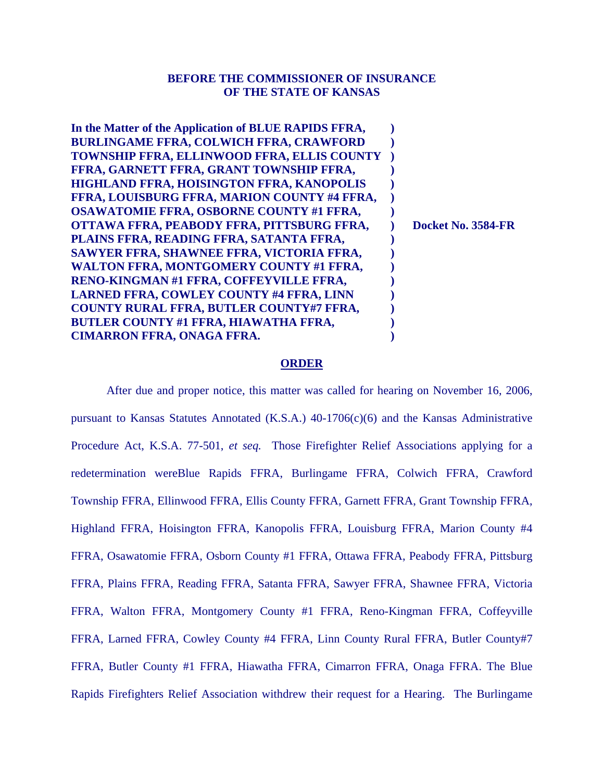## **BEFORE THE COMMISSIONER OF INSURANCE OF THE STATE OF KANSAS**

### **ORDER**

 After due and proper notice, this matter was called for hearing on November 16, 2006, pursuant to Kansas Statutes Annotated (K.S.A.) 40-1706(c)(6) and the Kansas Administrative Procedure Act, K.S.A. 77-501, *et seq.* Those Firefighter Relief Associations applying for a redetermination wereBlue Rapids FFRA, Burlingame FFRA, Colwich FFRA, Crawford Township FFRA, Ellinwood FFRA, Ellis County FFRA, Garnett FFRA, Grant Township FFRA, Highland FFRA, Hoisington FFRA, Kanopolis FFRA, Louisburg FFRA, Marion County #4 FFRA, Osawatomie FFRA, Osborn County #1 FFRA, Ottawa FFRA, Peabody FFRA, Pittsburg FFRA, Plains FFRA, Reading FFRA, Satanta FFRA, Sawyer FFRA, Shawnee FFRA, Victoria FFRA, Walton FFRA, Montgomery County #1 FFRA, Reno-Kingman FFRA, Coffeyville FFRA, Larned FFRA, Cowley County #4 FFRA, Linn County Rural FFRA, Butler County#7 FFRA, Butler County #1 FFRA, Hiawatha FFRA, Cimarron FFRA, Onaga FFRA. The Blue Rapids Firefighters Relief Association withdrew their request for a Hearing. The Burlingame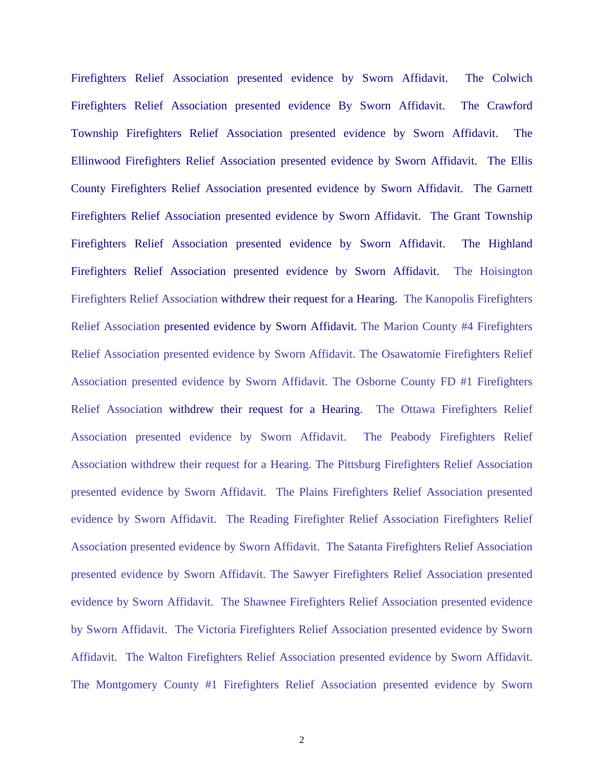Firefighters Relief Association presented evidence by Sworn Affidavit. The Colwich Firefighters Relief Association presented evidence By Sworn Affidavit. The Crawford Township Firefighters Relief Association presented evidence by Sworn Affidavit. The Ellinwood Firefighters Relief Association presented evidence by Sworn Affidavit. The Ellis County Firefighters Relief Association presented evidence by Sworn Affidavit. The Garnett Firefighters Relief Association presented evidence by Sworn Affidavit. The Grant Township Firefighters Relief Association presented evidence by Sworn Affidavit. The Highland Firefighters Relief Association presented evidence by Sworn Affidavit. The Hoisington Firefighters Relief Association withdrew their request for a Hearing. The Kanopolis Firefighters Relief Association presented evidence by Sworn Affidavit. The Marion County #4 Firefighters Relief Association presented evidence by Sworn Affidavit. The Osawatomie Firefighters Relief Association presented evidence by Sworn Affidavit. The Osborne County FD #1 Firefighters Relief Association withdrew their request for a Hearing. The Ottawa Firefighters Relief Association presented evidence by Sworn Affidavit. The Peabody Firefighters Relief Association withdrew their request for a Hearing. The Pittsburg Firefighters Relief Association presented evidence by Sworn Affidavit. The Plains Firefighters Relief Association presented evidence by Sworn Affidavit. The Reading Firefighter Relief Association Firefighters Relief Association presented evidence by Sworn Affidavit. The Satanta Firefighters Relief Association presented evidence by Sworn Affidavit. The Sawyer Firefighters Relief Association presented evidence by Sworn Affidavit. The Shawnee Firefighters Relief Association presented evidence by Sworn Affidavit. The Victoria Firefighters Relief Association presented evidence by Sworn Affidavit. The Walton Firefighters Relief Association presented evidence by Sworn Affidavit. The Montgomery County #1 Firefighters Relief Association presented evidence by Sworn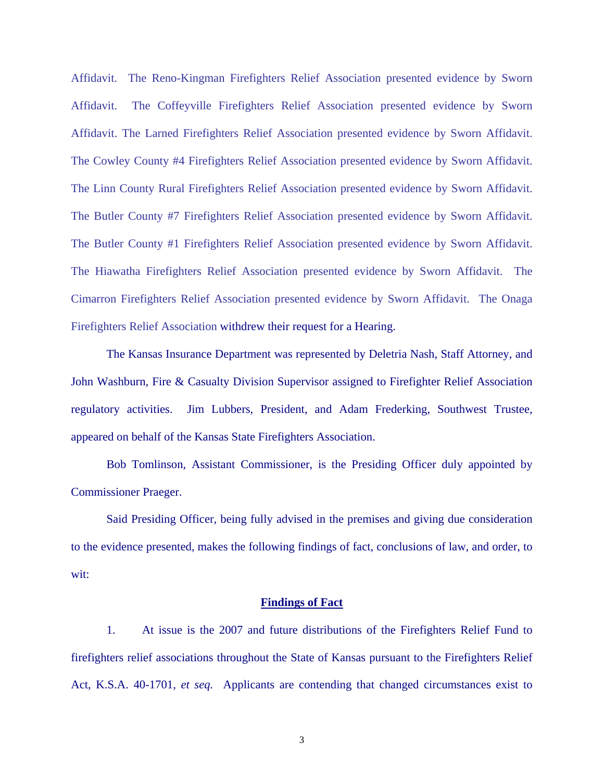Affidavit. The Reno-Kingman Firefighters Relief Association presented evidence by Sworn Affidavit. The Coffeyville Firefighters Relief Association presented evidence by Sworn Affidavit. The Larned Firefighters Relief Association presented evidence by Sworn Affidavit. The Cowley County #4 Firefighters Relief Association presented evidence by Sworn Affidavit. The Linn County Rural Firefighters Relief Association presented evidence by Sworn Affidavit. The Butler County #7 Firefighters Relief Association presented evidence by Sworn Affidavit. The Butler County #1 Firefighters Relief Association presented evidence by Sworn Affidavit. The Hiawatha Firefighters Relief Association presented evidence by Sworn Affidavit. The Cimarron Firefighters Relief Association presented evidence by Sworn Affidavit. The Onaga Firefighters Relief Association withdrew their request for a Hearing.

 The Kansas Insurance Department was represented by Deletria Nash, Staff Attorney, and John Washburn, Fire & Casualty Division Supervisor assigned to Firefighter Relief Association regulatory activities. Jim Lubbers, President, and Adam Frederking, Southwest Trustee, appeared on behalf of the Kansas State Firefighters Association.

 Bob Tomlinson, Assistant Commissioner, is the Presiding Officer duly appointed by Commissioner Praeger.

 Said Presiding Officer, being fully advised in the premises and giving due consideration to the evidence presented, makes the following findings of fact, conclusions of law, and order, to wit:

### **Findings of Fact**

 1. At issue is the 2007 and future distributions of the Firefighters Relief Fund to firefighters relief associations throughout the State of Kansas pursuant to the Firefighters Relief Act, K.S.A. 40-1701, *et seq.* Applicants are contending that changed circumstances exist to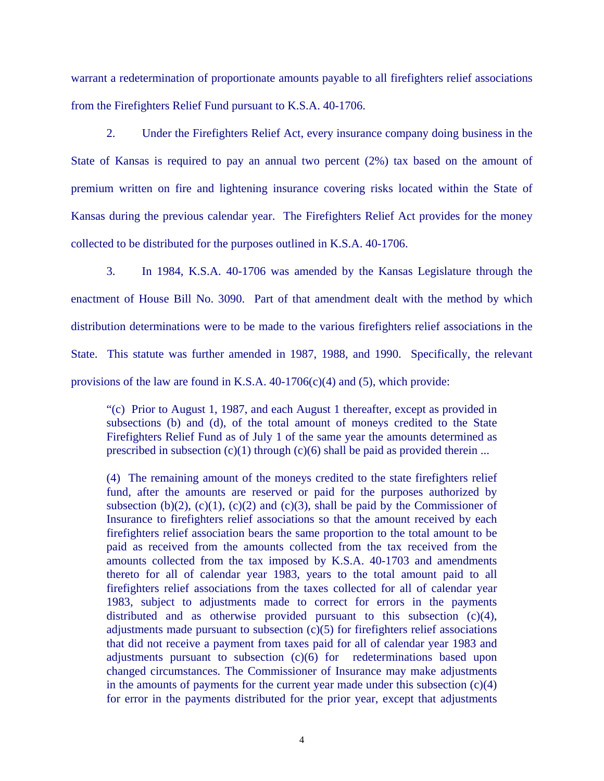warrant a redetermination of proportionate amounts payable to all firefighters relief associations from the Firefighters Relief Fund pursuant to K.S.A. 40-1706.

 2. Under the Firefighters Relief Act, every insurance company doing business in the State of Kansas is required to pay an annual two percent (2%) tax based on the amount of premium written on fire and lightening insurance covering risks located within the State of Kansas during the previous calendar year. The Firefighters Relief Act provides for the money collected to be distributed for the purposes outlined in K.S.A. 40-1706.

 3. In 1984, K.S.A. 40-1706 was amended by the Kansas Legislature through the enactment of House Bill No. 3090. Part of that amendment dealt with the method by which distribution determinations were to be made to the various firefighters relief associations in the State. This statute was further amended in 1987, 1988, and 1990. Specifically, the relevant provisions of the law are found in K.S.A.  $40-1706(c)(4)$  and (5), which provide:

"(c) Prior to August 1, 1987, and each August 1 thereafter, except as provided in subsections (b) and (d), of the total amount of moneys credited to the State Firefighters Relief Fund as of July 1 of the same year the amounts determined as prescribed in subsection  $(c)(1)$  through  $(c)(6)$  shall be paid as provided therein ...

(4) The remaining amount of the moneys credited to the state firefighters relief fund, after the amounts are reserved or paid for the purposes authorized by subsection (b)(2), (c)(1), (c)(2) and (c)(3), shall be paid by the Commissioner of Insurance to firefighters relief associations so that the amount received by each firefighters relief association bears the same proportion to the total amount to be paid as received from the amounts collected from the tax received from the amounts collected from the tax imposed by K.S.A. 40-1703 and amendments thereto for all of calendar year 1983, years to the total amount paid to all firefighters relief associations from the taxes collected for all of calendar year 1983, subject to adjustments made to correct for errors in the payments distributed and as otherwise provided pursuant to this subsection (c)(4), adjustments made pursuant to subsection  $(c)(5)$  for firefighters relief associations that did not receive a payment from taxes paid for all of calendar year 1983 and adjustments pursuant to subsection (c)(6) for redeterminations based upon changed circumstances. The Commissioner of Insurance may make adjustments in the amounts of payments for the current year made under this subsection  $(c)(4)$ for error in the payments distributed for the prior year, except that adjustments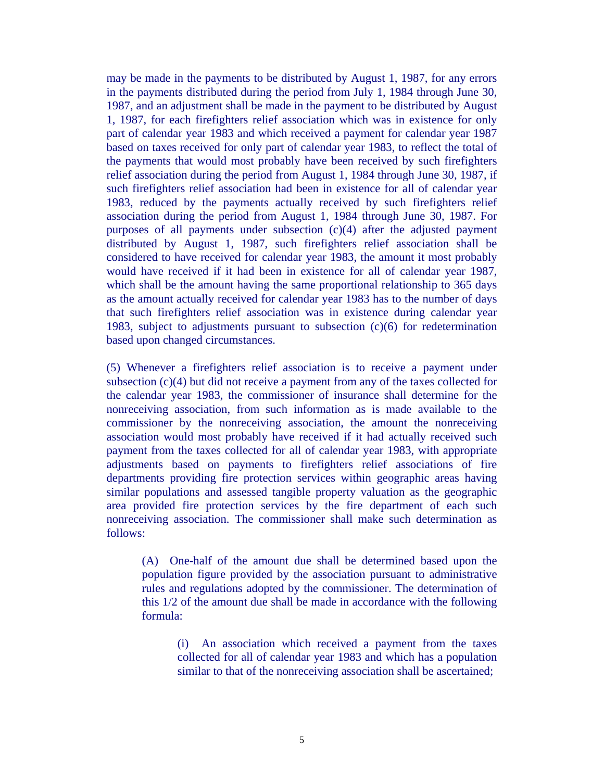may be made in the payments to be distributed by August 1, 1987, for any errors in the payments distributed during the period from July 1, 1984 through June 30, 1987, and an adjustment shall be made in the payment to be distributed by August 1, 1987, for each firefighters relief association which was in existence for only part of calendar year 1983 and which received a payment for calendar year 1987 based on taxes received for only part of calendar year 1983, to reflect the total of the payments that would most probably have been received by such firefighters relief association during the period from August 1, 1984 through June 30, 1987, if such firefighters relief association had been in existence for all of calendar year 1983, reduced by the payments actually received by such firefighters relief association during the period from August 1, 1984 through June 30, 1987. For purposes of all payments under subsection (c)(4) after the adjusted payment distributed by August 1, 1987, such firefighters relief association shall be considered to have received for calendar year 1983, the amount it most probably would have received if it had been in existence for all of calendar year 1987, which shall be the amount having the same proportional relationship to 365 days as the amount actually received for calendar year 1983 has to the number of days that such firefighters relief association was in existence during calendar year 1983, subject to adjustments pursuant to subsection (c)(6) for redetermination based upon changed circumstances.

(5) Whenever a firefighters relief association is to receive a payment under subsection (c)(4) but did not receive a payment from any of the taxes collected for the calendar year 1983, the commissioner of insurance shall determine for the nonreceiving association, from such information as is made available to the commissioner by the nonreceiving association, the amount the nonreceiving association would most probably have received if it had actually received such payment from the taxes collected for all of calendar year 1983, with appropriate adjustments based on payments to firefighters relief associations of fire departments providing fire protection services within geographic areas having similar populations and assessed tangible property valuation as the geographic area provided fire protection services by the fire department of each such nonreceiving association. The commissioner shall make such determination as follows:

(A) One-half of the amount due shall be determined based upon the population figure provided by the association pursuant to administrative rules and regulations adopted by the commissioner. The determination of this 1/2 of the amount due shall be made in accordance with the following formula:

> (i) An association which received a payment from the taxes collected for all of calendar year 1983 and which has a population similar to that of the nonreceiving association shall be ascertained;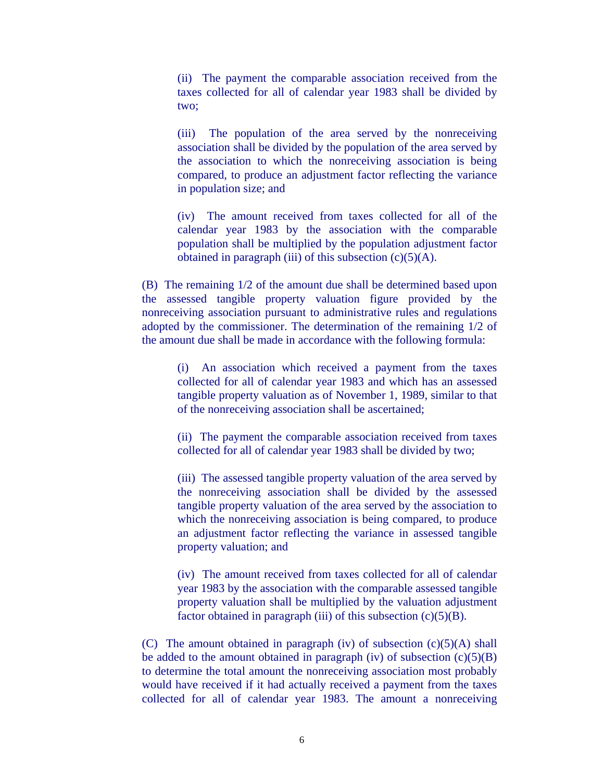(ii) The payment the comparable association received from the taxes collected for all of calendar year 1983 shall be divided by two;

(iii) The population of the area served by the nonreceiving association shall be divided by the population of the area served by the association to which the nonreceiving association is being compared, to produce an adjustment factor reflecting the variance in population size; and

(iv) The amount received from taxes collected for all of the calendar year 1983 by the association with the comparable population shall be multiplied by the population adjustment factor obtained in paragraph (iii) of this subsection  $(c)(5)(A)$ .

(B) The remaining 1/2 of the amount due shall be determined based upon the assessed tangible property valuation figure provided by the nonreceiving association pursuant to administrative rules and regulations adopted by the commissioner. The determination of the remaining 1/2 of the amount due shall be made in accordance with the following formula:

(i) An association which received a payment from the taxes collected for all of calendar year 1983 and which has an assessed tangible property valuation as of November 1, 1989, similar to that of the nonreceiving association shall be ascertained;

(ii) The payment the comparable association received from taxes collected for all of calendar year 1983 shall be divided by two;

(iii) The assessed tangible property valuation of the area served by the nonreceiving association shall be divided by the assessed tangible property valuation of the area served by the association to which the nonreceiving association is being compared, to produce an adjustment factor reflecting the variance in assessed tangible property valuation; and

(iv) The amount received from taxes collected for all of calendar year 1983 by the association with the comparable assessed tangible property valuation shall be multiplied by the valuation adjustment factor obtained in paragraph (iii) of this subsection  $(c)(5)(B)$ .

(C) The amount obtained in paragraph (iv) of subsection  $(c)(5)(A)$  shall be added to the amount obtained in paragraph (iv) of subsection  $(c)(5)(B)$ to determine the total amount the nonreceiving association most probably would have received if it had actually received a payment from the taxes collected for all of calendar year 1983. The amount a nonreceiving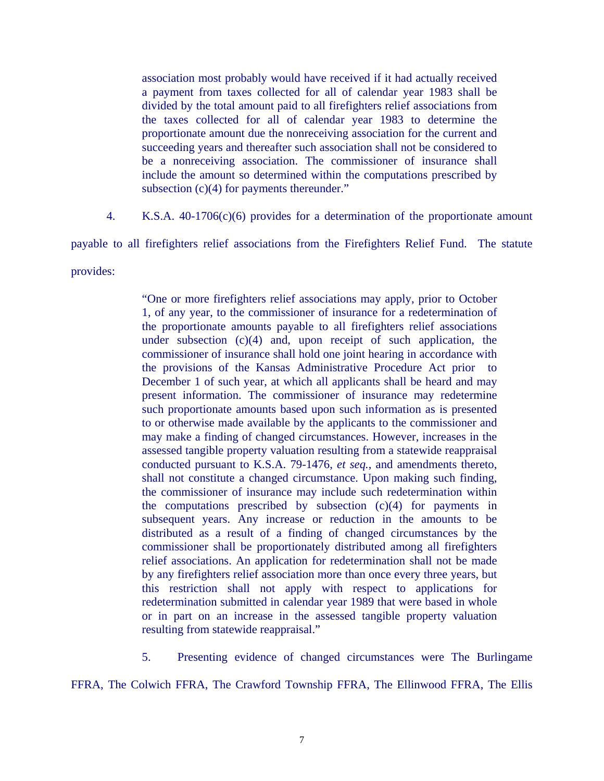association most probably would have received if it had actually received a payment from taxes collected for all of calendar year 1983 shall be divided by the total amount paid to all firefighters relief associations from the taxes collected for all of calendar year 1983 to determine the proportionate amount due the nonreceiving association for the current and succeeding years and thereafter such association shall not be considered to be a nonreceiving association. The commissioner of insurance shall include the amount so determined within the computations prescribed by subsection (c)(4) for payments thereunder."

4. K.S.A. 40-1706(c)(6) provides for a determination of the proportionate amount

payable to all firefighters relief associations from the Firefighters Relief Fund. The statute

provides:

"One or more firefighters relief associations may apply, prior to October 1, of any year, to the commissioner of insurance for a redetermination of the proportionate amounts payable to all firefighters relief associations under subsection (c)(4) and, upon receipt of such application, the commissioner of insurance shall hold one joint hearing in accordance with the provisions of the Kansas Administrative Procedure Act prior to December 1 of such year, at which all applicants shall be heard and may present information. The commissioner of insurance may redetermine such proportionate amounts based upon such information as is presented to or otherwise made available by the applicants to the commissioner and may make a finding of changed circumstances. However, increases in the assessed tangible property valuation resulting from a statewide reappraisal conducted pursuant to K.S.A. 79-1476, *et seq.*, and amendments thereto, shall not constitute a changed circumstance. Upon making such finding, the commissioner of insurance may include such redetermination within the computations prescribed by subsection  $(c)(4)$  for payments in subsequent years. Any increase or reduction in the amounts to be distributed as a result of a finding of changed circumstances by the commissioner shall be proportionately distributed among all firefighters relief associations. An application for redetermination shall not be made by any firefighters relief association more than once every three years, but this restriction shall not apply with respect to applications for redetermination submitted in calendar year 1989 that were based in whole or in part on an increase in the assessed tangible property valuation resulting from statewide reappraisal."

5. Presenting evidence of changed circumstances were The Burlingame

FFRA, The Colwich FFRA, The Crawford Township FFRA, The Ellinwood FFRA, The Ellis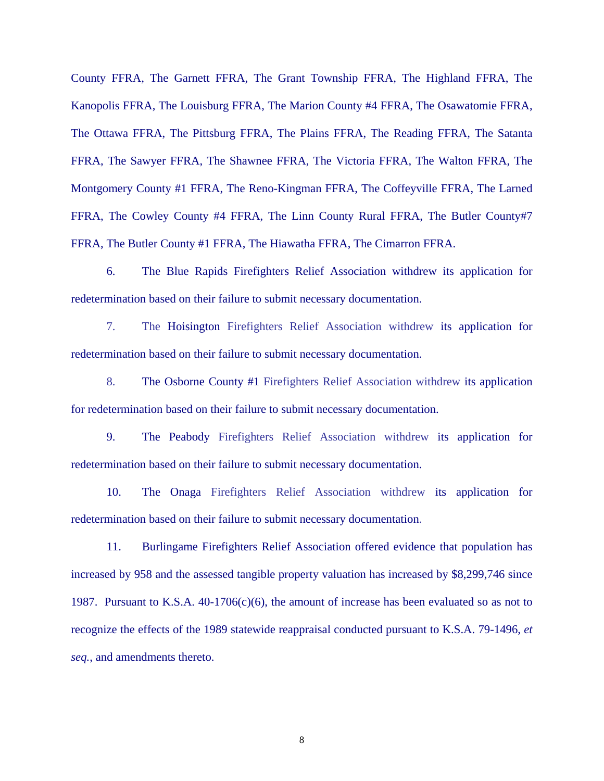County FFRA, The Garnett FFRA, The Grant Township FFRA, The Highland FFRA, The Kanopolis FFRA, The Louisburg FFRA, The Marion County #4 FFRA, The Osawatomie FFRA, The Ottawa FFRA, The Pittsburg FFRA, The Plains FFRA, The Reading FFRA, The Satanta FFRA, The Sawyer FFRA, The Shawnee FFRA, The Victoria FFRA, The Walton FFRA, The Montgomery County #1 FFRA, The Reno-Kingman FFRA, The Coffeyville FFRA, The Larned FFRA, The Cowley County #4 FFRA, The Linn County Rural FFRA, The Butler County#7 FFRA, The Butler County #1 FFRA, The Hiawatha FFRA, The Cimarron FFRA.

 6. The Blue Rapids Firefighters Relief Association withdrew its application for redetermination based on their failure to submit necessary documentation.

 7. The Hoisington Firefighters Relief Association withdrew its application for redetermination based on their failure to submit necessary documentation.

8. The Osborne County #1 Firefighters Relief Association withdrew its application for redetermination based on their failure to submit necessary documentation.

 9. The Peabody Firefighters Relief Association withdrew its application for redetermination based on their failure to submit necessary documentation.

 10. The Onaga Firefighters Relief Association withdrew its application for redetermination based on their failure to submit necessary documentation.

11. Burlingame Firefighters Relief Association offered evidence that population has increased by 958 and the assessed tangible property valuation has increased by \$8,299,746 since 1987. Pursuant to K.S.A. 40-1706(c)(6), the amount of increase has been evaluated so as not to recognize the effects of the 1989 statewide reappraisal conducted pursuant to K.S.A. 79-1496, *et seq.*, and amendments thereto.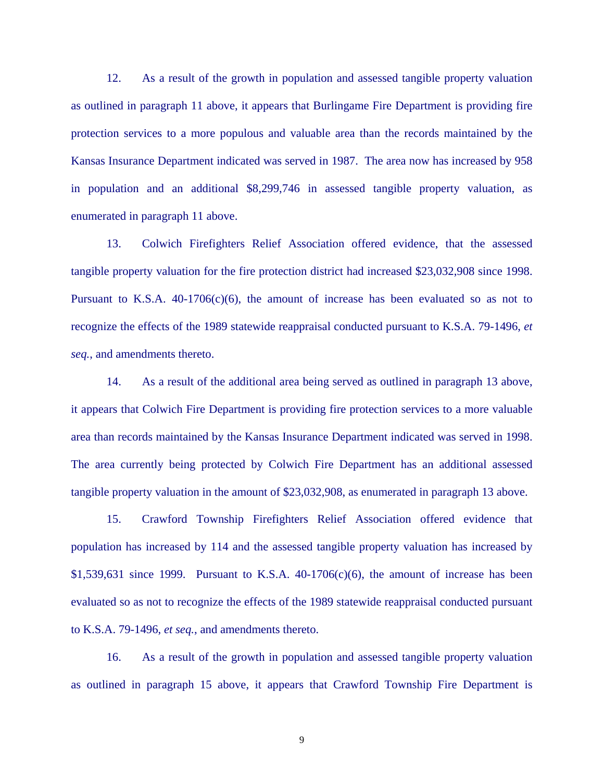12. As a result of the growth in population and assessed tangible property valuation as outlined in paragraph 11 above, it appears that Burlingame Fire Department is providing fire protection services to a more populous and valuable area than the records maintained by the Kansas Insurance Department indicated was served in 1987. The area now has increased by 958 in population and an additional \$8,299,746 in assessed tangible property valuation, as enumerated in paragraph 11 above.

 13. Colwich Firefighters Relief Association offered evidence, that the assessed tangible property valuation for the fire protection district had increased \$23,032,908 since 1998. Pursuant to K.S.A.  $40-1706(c)(6)$ , the amount of increase has been evaluated so as not to recognize the effects of the 1989 statewide reappraisal conducted pursuant to K.S.A. 79-1496, *et seq.*, and amendments thereto.

 14. As a result of the additional area being served as outlined in paragraph 13 above, it appears that Colwich Fire Department is providing fire protection services to a more valuable area than records maintained by the Kansas Insurance Department indicated was served in 1998. The area currently being protected by Colwich Fire Department has an additional assessed tangible property valuation in the amount of \$23,032,908, as enumerated in paragraph 13 above.

 15. Crawford Township Firefighters Relief Association offered evidence that population has increased by 114 and the assessed tangible property valuation has increased by  $$1,539,631$  since 1999. Pursuant to K.S.A. 40-1706(c)(6), the amount of increase has been evaluated so as not to recognize the effects of the 1989 statewide reappraisal conducted pursuant to K.S.A. 79-1496, *et seq.*, and amendments thereto.

 16. As a result of the growth in population and assessed tangible property valuation as outlined in paragraph 15 above, it appears that Crawford Township Fire Department is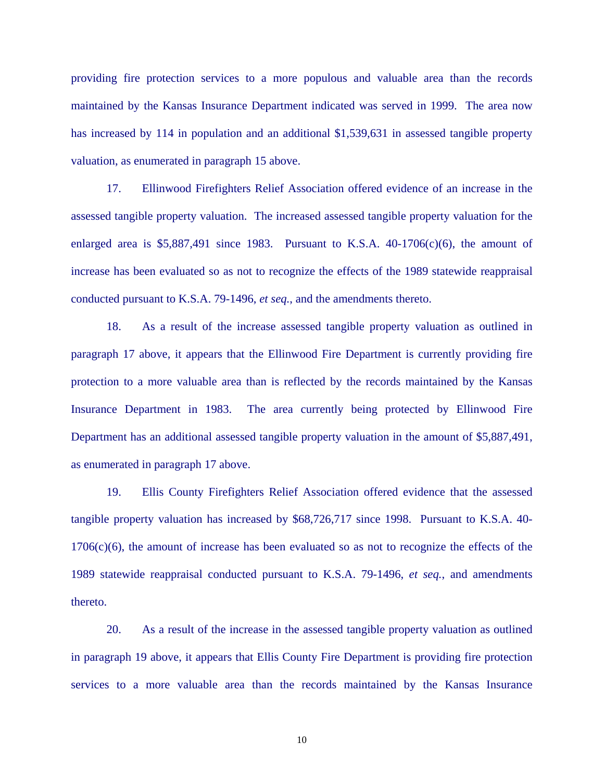providing fire protection services to a more populous and valuable area than the records maintained by the Kansas Insurance Department indicated was served in 1999. The area now has increased by 114 in population and an additional \$1,539,631 in assessed tangible property valuation, as enumerated in paragraph 15 above.

17. Ellinwood Firefighters Relief Association offered evidence of an increase in the assessed tangible property valuation. The increased assessed tangible property valuation for the enlarged area is  $$5,887,491$  since 1983. Pursuant to K.S.A. 40-1706(c)(6), the amount of increase has been evaluated so as not to recognize the effects of the 1989 statewide reappraisal conducted pursuant to K.S.A. 79-1496, *et seq.*, and the amendments thereto.

 18. As a result of the increase assessed tangible property valuation as outlined in paragraph 17 above, it appears that the Ellinwood Fire Department is currently providing fire protection to a more valuable area than is reflected by the records maintained by the Kansas Insurance Department in 1983. The area currently being protected by Ellinwood Fire Department has an additional assessed tangible property valuation in the amount of \$5,887,491, as enumerated in paragraph 17 above.

 19. Ellis County Firefighters Relief Association offered evidence that the assessed tangible property valuation has increased by \$68,726,717 since 1998. Pursuant to K.S.A. 40- 1706(c)(6), the amount of increase has been evaluated so as not to recognize the effects of the 1989 statewide reappraisal conducted pursuant to K.S.A. 79-1496, *et seq.*, and amendments thereto.

 20. As a result of the increase in the assessed tangible property valuation as outlined in paragraph 19 above, it appears that Ellis County Fire Department is providing fire protection services to a more valuable area than the records maintained by the Kansas Insurance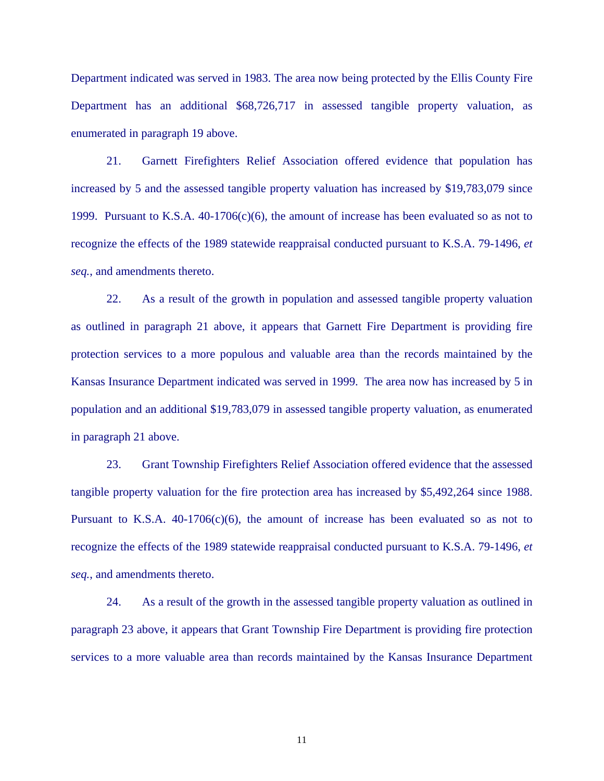Department indicated was served in 1983. The area now being protected by the Ellis County Fire Department has an additional \$68,726,717 in assessed tangible property valuation, as enumerated in paragraph 19 above.

 21. Garnett Firefighters Relief Association offered evidence that population has increased by 5 and the assessed tangible property valuation has increased by \$19,783,079 since 1999. Pursuant to K.S.A.  $40-1706(c)(6)$ , the amount of increase has been evaluated so as not to recognize the effects of the 1989 statewide reappraisal conducted pursuant to K.S.A. 79-1496, *et seq.*, and amendments thereto.

 22. As a result of the growth in population and assessed tangible property valuation as outlined in paragraph 21 above, it appears that Garnett Fire Department is providing fire protection services to a more populous and valuable area than the records maintained by the Kansas Insurance Department indicated was served in 1999. The area now has increased by 5 in population and an additional \$19,783,079 in assessed tangible property valuation, as enumerated in paragraph 21 above.

 23. Grant Township Firefighters Relief Association offered evidence that the assessed tangible property valuation for the fire protection area has increased by \$5,492,264 since 1988. Pursuant to K.S.A.  $40-1706(c)(6)$ , the amount of increase has been evaluated so as not to recognize the effects of the 1989 statewide reappraisal conducted pursuant to K.S.A. 79-1496, *et seq.*, and amendments thereto.

 24. As a result of the growth in the assessed tangible property valuation as outlined in paragraph 23 above, it appears that Grant Township Fire Department is providing fire protection services to a more valuable area than records maintained by the Kansas Insurance Department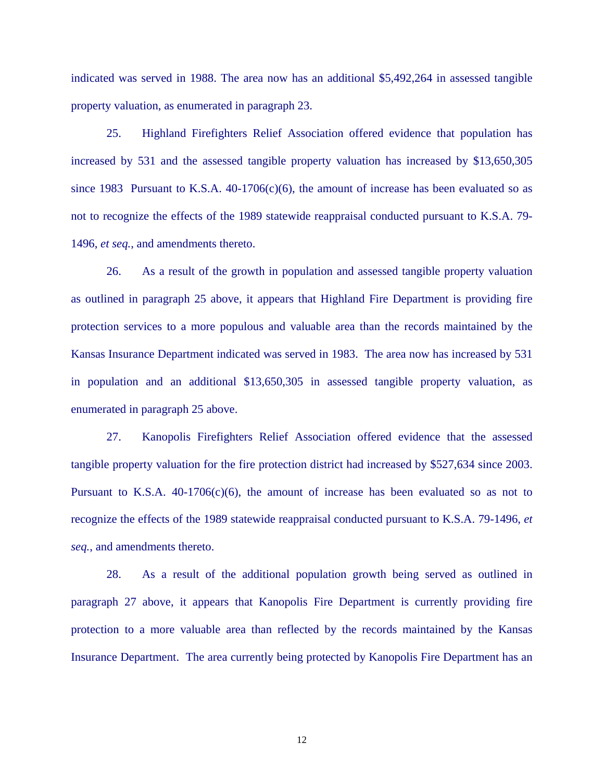indicated was served in 1988. The area now has an additional \$5,492,264 in assessed tangible property valuation, as enumerated in paragraph 23.

25. Highland Firefighters Relief Association offered evidence that population has increased by 531 and the assessed tangible property valuation has increased by \$13,650,305 since 1983 Pursuant to K.S.A.  $40-1706(c)(6)$ , the amount of increase has been evaluated so as not to recognize the effects of the 1989 statewide reappraisal conducted pursuant to K.S.A. 79- 1496, *et seq.*, and amendments thereto.

 26. As a result of the growth in population and assessed tangible property valuation as outlined in paragraph 25 above, it appears that Highland Fire Department is providing fire protection services to a more populous and valuable area than the records maintained by the Kansas Insurance Department indicated was served in 1983. The area now has increased by 531 in population and an additional \$13,650,305 in assessed tangible property valuation, as enumerated in paragraph 25 above.

 27. Kanopolis Firefighters Relief Association offered evidence that the assessed tangible property valuation for the fire protection district had increased by \$527,634 since 2003. Pursuant to K.S.A.  $40-1706(c)(6)$ , the amount of increase has been evaluated so as not to recognize the effects of the 1989 statewide reappraisal conducted pursuant to K.S.A. 79-1496, *et seq.*, and amendments thereto.

 28. As a result of the additional population growth being served as outlined in paragraph 27 above, it appears that Kanopolis Fire Department is currently providing fire protection to a more valuable area than reflected by the records maintained by the Kansas Insurance Department. The area currently being protected by Kanopolis Fire Department has an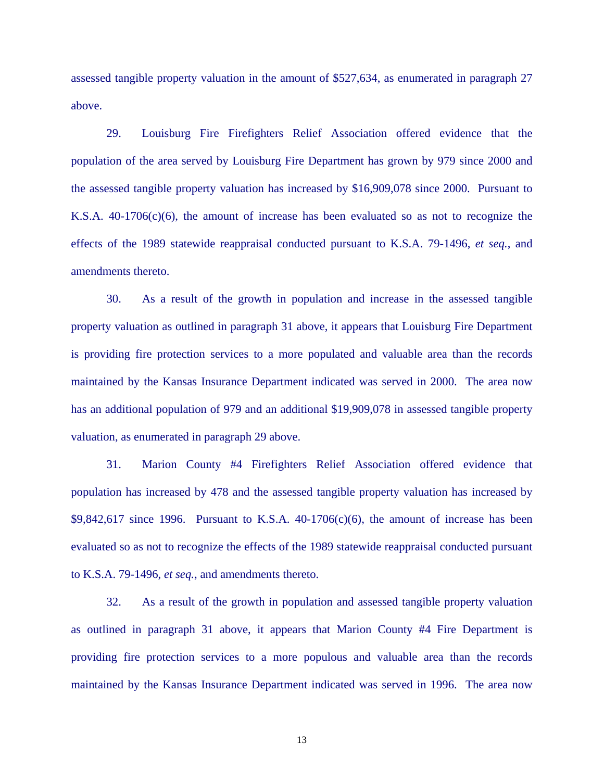assessed tangible property valuation in the amount of \$527,634, as enumerated in paragraph 27 above.

29. Louisburg Fire Firefighters Relief Association offered evidence that the population of the area served by Louisburg Fire Department has grown by 979 since 2000 and the assessed tangible property valuation has increased by \$16,909,078 since 2000. Pursuant to K.S.A.  $40-1706(c)(6)$ , the amount of increase has been evaluated so as not to recognize the effects of the 1989 statewide reappraisal conducted pursuant to K.S.A. 79-1496, *et seq.*, and amendments thereto.

30. As a result of the growth in population and increase in the assessed tangible property valuation as outlined in paragraph 31 above, it appears that Louisburg Fire Department is providing fire protection services to a more populated and valuable area than the records maintained by the Kansas Insurance Department indicated was served in 2000. The area now has an additional population of 979 and an additional \$19,909,078 in assessed tangible property valuation, as enumerated in paragraph 29 above.

 31. Marion County #4 Firefighters Relief Association offered evidence that population has increased by 478 and the assessed tangible property valuation has increased by  $$9,842,617$  since 1996. Pursuant to K.S.A.  $40-1706(c)(6)$ , the amount of increase has been evaluated so as not to recognize the effects of the 1989 statewide reappraisal conducted pursuant to K.S.A. 79-1496, *et seq.*, and amendments thereto.

 32. As a result of the growth in population and assessed tangible property valuation as outlined in paragraph 31 above, it appears that Marion County #4 Fire Department is providing fire protection services to a more populous and valuable area than the records maintained by the Kansas Insurance Department indicated was served in 1996. The area now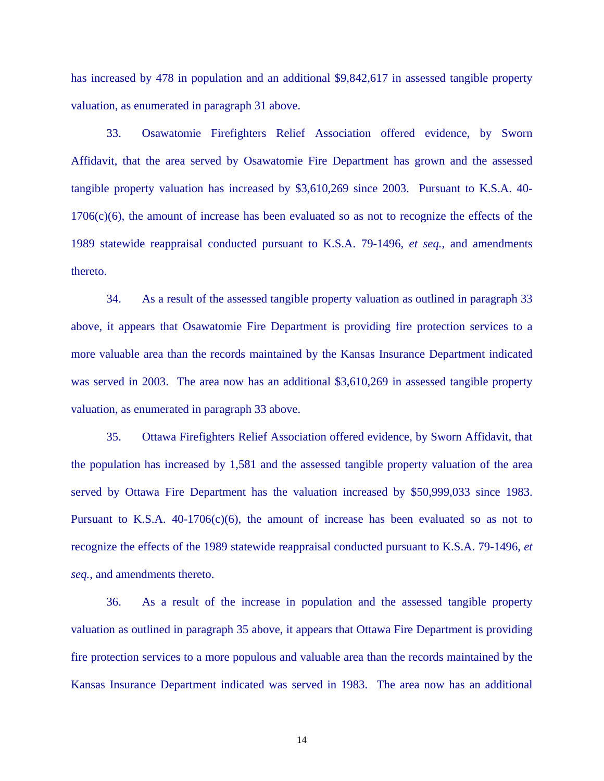has increased by 478 in population and an additional \$9,842,617 in assessed tangible property valuation, as enumerated in paragraph 31 above.

 33. Osawatomie Firefighters Relief Association offered evidence, by Sworn Affidavit, that the area served by Osawatomie Fire Department has grown and the assessed tangible property valuation has increased by \$3,610,269 since 2003. Pursuant to K.S.A. 40- 1706(c)(6), the amount of increase has been evaluated so as not to recognize the effects of the 1989 statewide reappraisal conducted pursuant to K.S.A. 79-1496, *et seq.*, and amendments thereto.

 34. As a result of the assessed tangible property valuation as outlined in paragraph 33 above, it appears that Osawatomie Fire Department is providing fire protection services to a more valuable area than the records maintained by the Kansas Insurance Department indicated was served in 2003. The area now has an additional \$3,610,269 in assessed tangible property valuation, as enumerated in paragraph 33 above.

 35. Ottawa Firefighters Relief Association offered evidence, by Sworn Affidavit, that the population has increased by 1,581 and the assessed tangible property valuation of the area served by Ottawa Fire Department has the valuation increased by \$50,999,033 since 1983. Pursuant to K.S.A.  $40-1706(c)(6)$ , the amount of increase has been evaluated so as not to recognize the effects of the 1989 statewide reappraisal conducted pursuant to K.S.A. 79-1496, *et seq.*, and amendments thereto.

 36. As a result of the increase in population and the assessed tangible property valuation as outlined in paragraph 35 above, it appears that Ottawa Fire Department is providing fire protection services to a more populous and valuable area than the records maintained by the Kansas Insurance Department indicated was served in 1983. The area now has an additional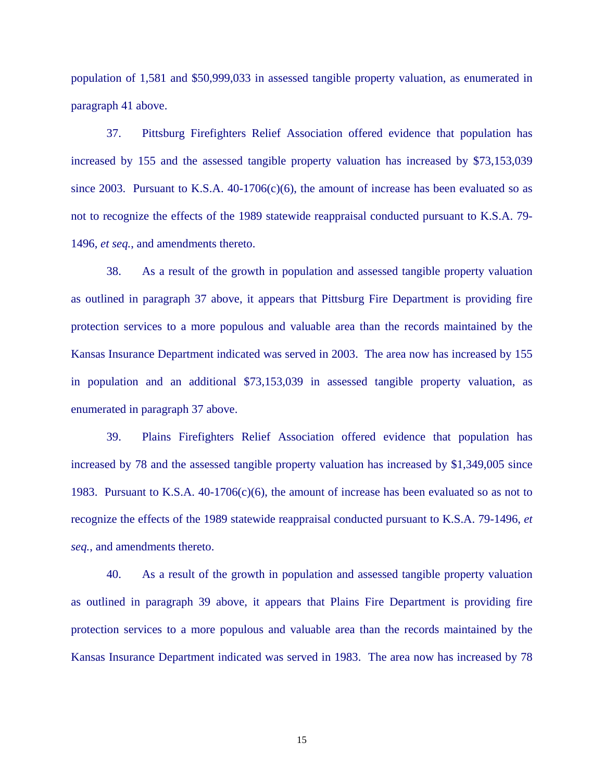population of 1,581 and \$50,999,033 in assessed tangible property valuation, as enumerated in paragraph 41 above.

 37. Pittsburg Firefighters Relief Association offered evidence that population has increased by 155 and the assessed tangible property valuation has increased by \$73,153,039 since 2003. Pursuant to K.S.A.  $40-1706(c)(6)$ , the amount of increase has been evaluated so as not to recognize the effects of the 1989 statewide reappraisal conducted pursuant to K.S.A. 79- 1496, *et seq.*, and amendments thereto.

 38. As a result of the growth in population and assessed tangible property valuation as outlined in paragraph 37 above, it appears that Pittsburg Fire Department is providing fire protection services to a more populous and valuable area than the records maintained by the Kansas Insurance Department indicated was served in 2003. The area now has increased by 155 in population and an additional \$73,153,039 in assessed tangible property valuation, as enumerated in paragraph 37 above.

 39. Plains Firefighters Relief Association offered evidence that population has increased by 78 and the assessed tangible property valuation has increased by \$1,349,005 since 1983. Pursuant to K.S.A.  $40-1706(c)(6)$ , the amount of increase has been evaluated so as not to recognize the effects of the 1989 statewide reappraisal conducted pursuant to K.S.A. 79-1496, *et seq.*, and amendments thereto.

 40. As a result of the growth in population and assessed tangible property valuation as outlined in paragraph 39 above, it appears that Plains Fire Department is providing fire protection services to a more populous and valuable area than the records maintained by the Kansas Insurance Department indicated was served in 1983. The area now has increased by 78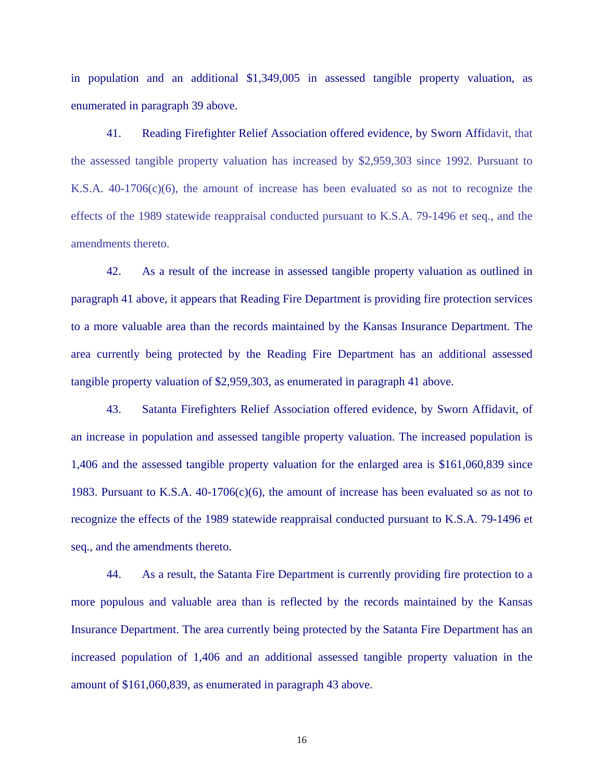in population and an additional \$1,349,005 in assessed tangible property valuation, as enumerated in paragraph 39 above.

41. Reading Firefighter Relief Association offered evidence, by Sworn Affidavit, that the assessed tangible property valuation has increased by \$2,959,303 since 1992. Pursuant to K.S.A. 40-1706(c)(6), the amount of increase has been evaluated so as not to recognize the effects of the 1989 statewide reappraisal conducted pursuant to K.S.A. 79-1496 et seq., and the amendments thereto.

42. As a result of the increase in assessed tangible property valuation as outlined in paragraph 41 above, it appears that Reading Fire Department is providing fire protection services to a more valuable area than the records maintained by the Kansas Insurance Department. The area currently being protected by the Reading Fire Department has an additional assessed tangible property valuation of \$2,959,303, as enumerated in paragraph 41 above.

43. Satanta Firefighters Relief Association offered evidence, by Sworn Affidavit, of an increase in population and assessed tangible property valuation. The increased population is 1,406 and the assessed tangible property valuation for the enlarged area is \$161,060,839 since 1983. Pursuant to K.S.A.  $40-1706(c)(6)$ , the amount of increase has been evaluated so as not to recognize the effects of the 1989 statewide reappraisal conducted pursuant to K.S.A. 79-1496 et seq., and the amendments thereto.

 44. As a result, the Satanta Fire Department is currently providing fire protection to a more populous and valuable area than is reflected by the records maintained by the Kansas Insurance Department. The area currently being protected by the Satanta Fire Department has an increased population of 1,406 and an additional assessed tangible property valuation in the amount of \$161,060,839, as enumerated in paragraph 43 above.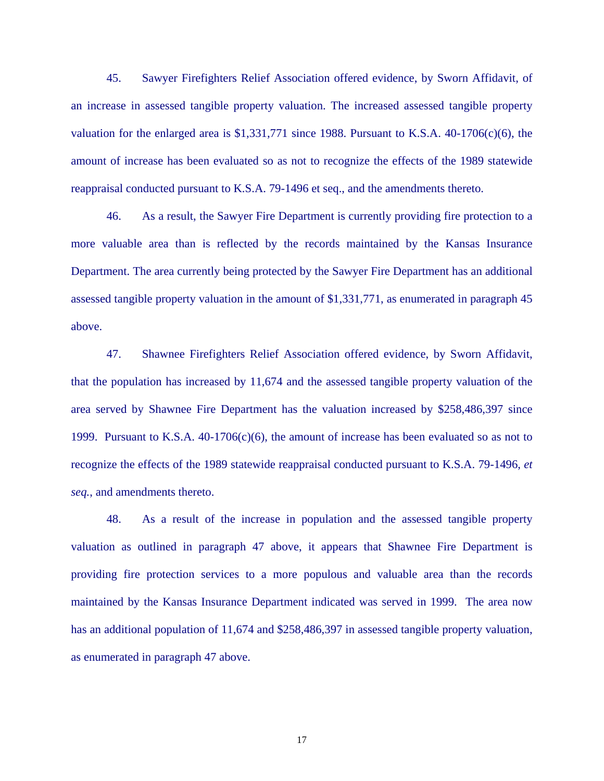45. Sawyer Firefighters Relief Association offered evidence, by Sworn Affidavit, of an increase in assessed tangible property valuation. The increased assessed tangible property valuation for the enlarged area is  $$1,331,771$  since 1988. Pursuant to K.S.A.  $40-1706(c)(6)$ , the amount of increase has been evaluated so as not to recognize the effects of the 1989 statewide reappraisal conducted pursuant to K.S.A. 79-1496 et seq., and the amendments thereto.

46. As a result, the Sawyer Fire Department is currently providing fire protection to a more valuable area than is reflected by the records maintained by the Kansas Insurance Department. The area currently being protected by the Sawyer Fire Department has an additional assessed tangible property valuation in the amount of \$1,331,771, as enumerated in paragraph 45 above.

 47. Shawnee Firefighters Relief Association offered evidence, by Sworn Affidavit, that the population has increased by 11,674 and the assessed tangible property valuation of the area served by Shawnee Fire Department has the valuation increased by \$258,486,397 since 1999. Pursuant to K.S.A.  $40-1706(c)(6)$ , the amount of increase has been evaluated so as not to recognize the effects of the 1989 statewide reappraisal conducted pursuant to K.S.A. 79-1496, *et seq.*, and amendments thereto.

48. As a result of the increase in population and the assessed tangible property valuation as outlined in paragraph 47 above, it appears that Shawnee Fire Department is providing fire protection services to a more populous and valuable area than the records maintained by the Kansas Insurance Department indicated was served in 1999. The area now has an additional population of 11,674 and \$258,486,397 in assessed tangible property valuation, as enumerated in paragraph 47 above.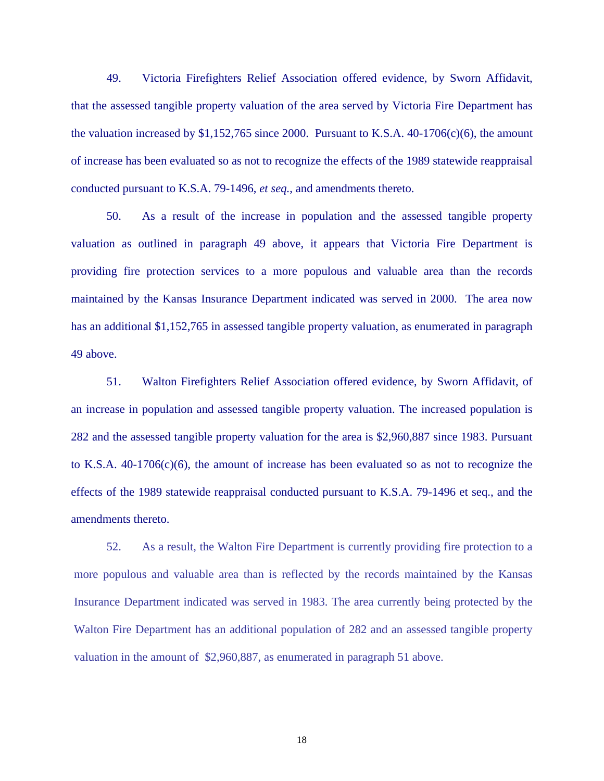49. Victoria Firefighters Relief Association offered evidence, by Sworn Affidavit, that the assessed tangible property valuation of the area served by Victoria Fire Department has the valuation increased by  $$1,152,765$  since 2000. Pursuant to K.S.A. 40-1706(c)(6), the amount of increase has been evaluated so as not to recognize the effects of the 1989 statewide reappraisal conducted pursuant to K.S.A. 79-1496, *et seq.*, and amendments thereto.

50. As a result of the increase in population and the assessed tangible property valuation as outlined in paragraph 49 above, it appears that Victoria Fire Department is providing fire protection services to a more populous and valuable area than the records maintained by the Kansas Insurance Department indicated was served in 2000. The area now has an additional \$1,152,765 in assessed tangible property valuation, as enumerated in paragraph 49 above.

51. Walton Firefighters Relief Association offered evidence, by Sworn Affidavit, of an increase in population and assessed tangible property valuation. The increased population is 282 and the assessed tangible property valuation for the area is \$2,960,887 since 1983. Pursuant to K.S.A. 40-1706(c)(6), the amount of increase has been evaluated so as not to recognize the effects of the 1989 statewide reappraisal conducted pursuant to K.S.A. 79-1496 et seq., and the amendments thereto.

52. As a result, the Walton Fire Department is currently providing fire protection to a more populous and valuable area than is reflected by the records maintained by the Kansas Insurance Department indicated was served in 1983. The area currently being protected by the Walton Fire Department has an additional population of 282 and an assessed tangible property valuation in the amount of \$2,960,887, as enumerated in paragraph 51 above.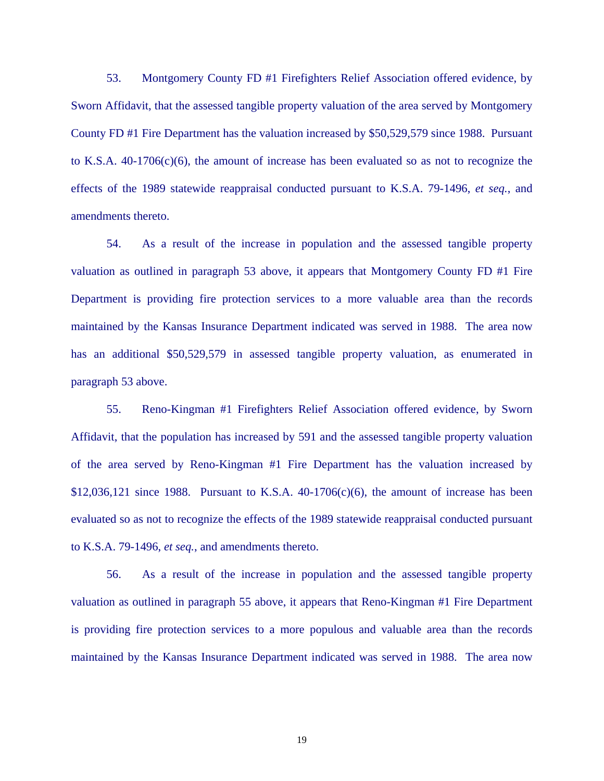53. Montgomery County FD #1 Firefighters Relief Association offered evidence, by Sworn Affidavit, that the assessed tangible property valuation of the area served by Montgomery County FD #1 Fire Department has the valuation increased by \$50,529,579 since 1988. Pursuant to K.S.A.  $40-1706(c)(6)$ , the amount of increase has been evaluated so as not to recognize the effects of the 1989 statewide reappraisal conducted pursuant to K.S.A. 79-1496, *et seq.*, and amendments thereto.

54. As a result of the increase in population and the assessed tangible property valuation as outlined in paragraph 53 above, it appears that Montgomery County FD #1 Fire Department is providing fire protection services to a more valuable area than the records maintained by the Kansas Insurance Department indicated was served in 1988. The area now has an additional \$50,529,579 in assessed tangible property valuation, as enumerated in paragraph 53 above.

 55. Reno-Kingman #1 Firefighters Relief Association offered evidence, by Sworn Affidavit, that the population has increased by 591 and the assessed tangible property valuation of the area served by Reno-Kingman #1 Fire Department has the valuation increased by  $$12,036,121$  since 1988. Pursuant to K.S.A.  $40-1706(c)(6)$ , the amount of increase has been evaluated so as not to recognize the effects of the 1989 statewide reappraisal conducted pursuant to K.S.A. 79-1496, *et seq.*, and amendments thereto.

56. As a result of the increase in population and the assessed tangible property valuation as outlined in paragraph 55 above, it appears that Reno-Kingman #1 Fire Department is providing fire protection services to a more populous and valuable area than the records maintained by the Kansas Insurance Department indicated was served in 1988. The area now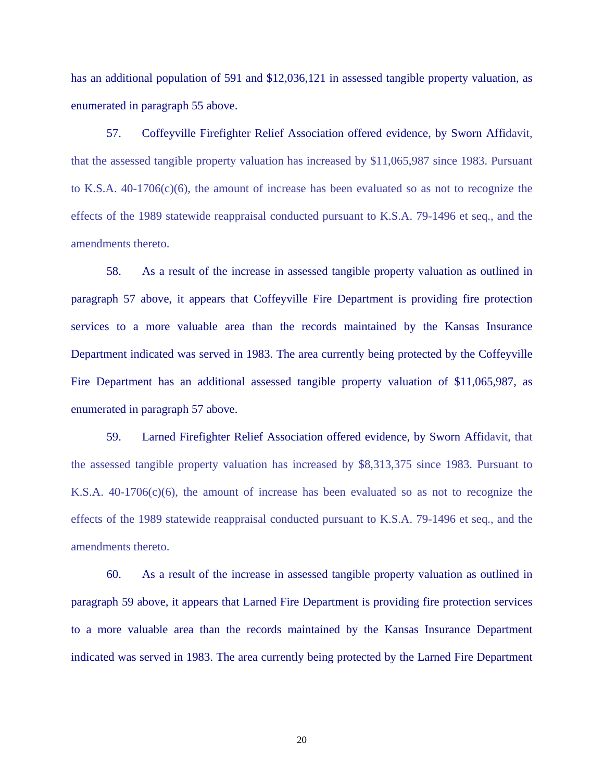has an additional population of 591 and \$12,036,121 in assessed tangible property valuation, as enumerated in paragraph 55 above.

57. Coffeyville Firefighter Relief Association offered evidence, by Sworn Affidavit, that the assessed tangible property valuation has increased by \$11,065,987 since 1983. Pursuant to K.S.A. 40-1706(c)(6), the amount of increase has been evaluated so as not to recognize the effects of the 1989 statewide reappraisal conducted pursuant to K.S.A. 79-1496 et seq., and the amendments thereto.

58. As a result of the increase in assessed tangible property valuation as outlined in paragraph 57 above, it appears that Coffeyville Fire Department is providing fire protection services to a more valuable area than the records maintained by the Kansas Insurance Department indicated was served in 1983. The area currently being protected by the Coffeyville Fire Department has an additional assessed tangible property valuation of \$11,065,987, as enumerated in paragraph 57 above.

59. Larned Firefighter Relief Association offered evidence, by Sworn Affidavit, that the assessed tangible property valuation has increased by \$8,313,375 since 1983. Pursuant to K.S.A.  $40-1706(c)(6)$ , the amount of increase has been evaluated so as not to recognize the effects of the 1989 statewide reappraisal conducted pursuant to K.S.A. 79-1496 et seq., and the amendments thereto.

60. As a result of the increase in assessed tangible property valuation as outlined in paragraph 59 above, it appears that Larned Fire Department is providing fire protection services to a more valuable area than the records maintained by the Kansas Insurance Department indicated was served in 1983. The area currently being protected by the Larned Fire Department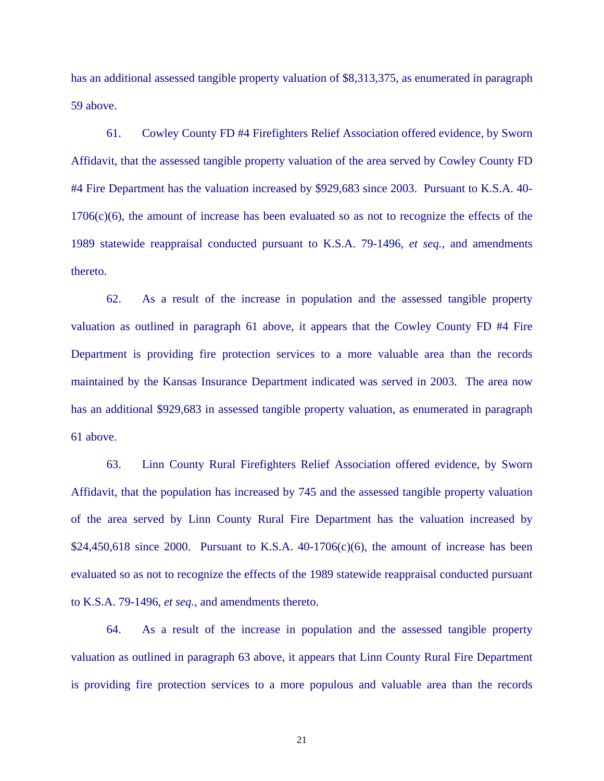has an additional assessed tangible property valuation of \$8,313,375, as enumerated in paragraph 59 above.

 61. Cowley County FD #4 Firefighters Relief Association offered evidence, by Sworn Affidavit, that the assessed tangible property valuation of the area served by Cowley County FD #4 Fire Department has the valuation increased by \$929,683 since 2003. Pursuant to K.S.A. 40- 1706(c)(6), the amount of increase has been evaluated so as not to recognize the effects of the 1989 statewide reappraisal conducted pursuant to K.S.A. 79-1496, *et seq.*, and amendments thereto.

62. As a result of the increase in population and the assessed tangible property valuation as outlined in paragraph 61 above, it appears that the Cowley County FD #4 Fire Department is providing fire protection services to a more valuable area than the records maintained by the Kansas Insurance Department indicated was served in 2003. The area now has an additional \$929,683 in assessed tangible property valuation, as enumerated in paragraph 61 above.

 63. Linn County Rural Firefighters Relief Association offered evidence, by Sworn Affidavit, that the population has increased by 745 and the assessed tangible property valuation of the area served by Linn County Rural Fire Department has the valuation increased by  $$24,450,618$  since 2000. Pursuant to K.S.A. 40-1706(c)(6), the amount of increase has been evaluated so as not to recognize the effects of the 1989 statewide reappraisal conducted pursuant to K.S.A. 79-1496, *et seq.*, and amendments thereto.

64. As a result of the increase in population and the assessed tangible property valuation as outlined in paragraph 63 above, it appears that Linn County Rural Fire Department is providing fire protection services to a more populous and valuable area than the records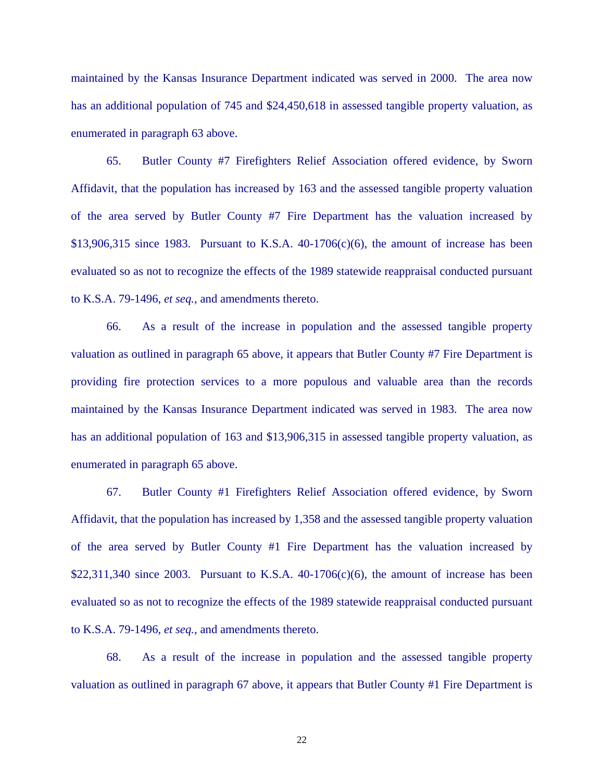maintained by the Kansas Insurance Department indicated was served in 2000. The area now has an additional population of 745 and \$24,450,618 in assessed tangible property valuation, as enumerated in paragraph 63 above.

 65. Butler County #7 Firefighters Relief Association offered evidence, by Sworn Affidavit, that the population has increased by 163 and the assessed tangible property valuation of the area served by Butler County #7 Fire Department has the valuation increased by  $$13,906,315$  since 1983. Pursuant to K.S.A. 40-1706(c)(6), the amount of increase has been evaluated so as not to recognize the effects of the 1989 statewide reappraisal conducted pursuant to K.S.A. 79-1496, *et seq.*, and amendments thereto.

66. As a result of the increase in population and the assessed tangible property valuation as outlined in paragraph 65 above, it appears that Butler County #7 Fire Department is providing fire protection services to a more populous and valuable area than the records maintained by the Kansas Insurance Department indicated was served in 1983. The area now has an additional population of 163 and \$13,906,315 in assessed tangible property valuation, as enumerated in paragraph 65 above.

 67. Butler County #1 Firefighters Relief Association offered evidence, by Sworn Affidavit, that the population has increased by 1,358 and the assessed tangible property valuation of the area served by Butler County #1 Fire Department has the valuation increased by  $$22,311,340$  since 2003. Pursuant to K.S.A. 40-1706(c)(6), the amount of increase has been evaluated so as not to recognize the effects of the 1989 statewide reappraisal conducted pursuant to K.S.A. 79-1496, *et seq.*, and amendments thereto.

68. As a result of the increase in population and the assessed tangible property valuation as outlined in paragraph 67 above, it appears that Butler County #1 Fire Department is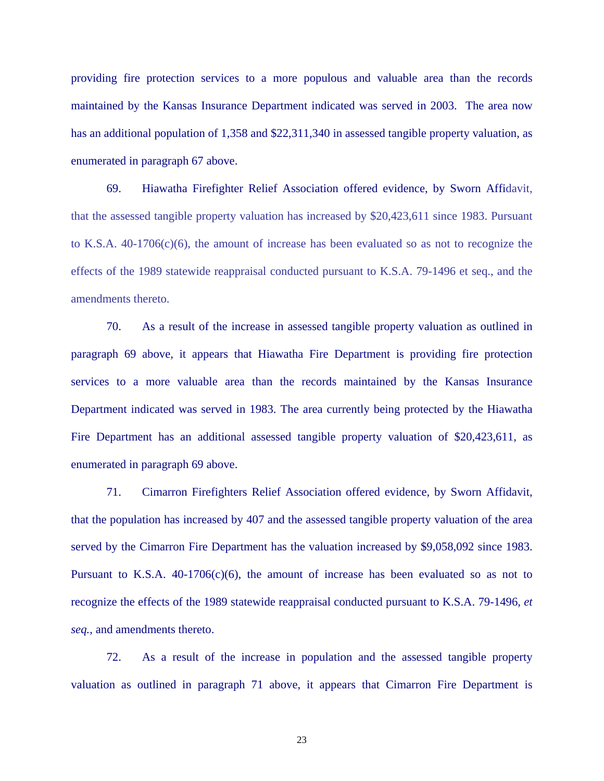providing fire protection services to a more populous and valuable area than the records maintained by the Kansas Insurance Department indicated was served in 2003. The area now has an additional population of 1,358 and \$22,311,340 in assessed tangible property valuation, as enumerated in paragraph 67 above.

69. Hiawatha Firefighter Relief Association offered evidence, by Sworn Affidavit, that the assessed tangible property valuation has increased by \$20,423,611 since 1983. Pursuant to K.S.A. 40-1706(c)(6), the amount of increase has been evaluated so as not to recognize the effects of the 1989 statewide reappraisal conducted pursuant to K.S.A. 79-1496 et seq., and the amendments thereto.

70. As a result of the increase in assessed tangible property valuation as outlined in paragraph 69 above, it appears that Hiawatha Fire Department is providing fire protection services to a more valuable area than the records maintained by the Kansas Insurance Department indicated was served in 1983. The area currently being protected by the Hiawatha Fire Department has an additional assessed tangible property valuation of \$20,423,611, as enumerated in paragraph 69 above.

 71. Cimarron Firefighters Relief Association offered evidence, by Sworn Affidavit, that the population has increased by 407 and the assessed tangible property valuation of the area served by the Cimarron Fire Department has the valuation increased by \$9,058,092 since 1983. Pursuant to K.S.A.  $40-1706(c)(6)$ , the amount of increase has been evaluated so as not to recognize the effects of the 1989 statewide reappraisal conducted pursuant to K.S.A. 79-1496, *et seq.*, and amendments thereto.

72. As a result of the increase in population and the assessed tangible property valuation as outlined in paragraph 71 above, it appears that Cimarron Fire Department is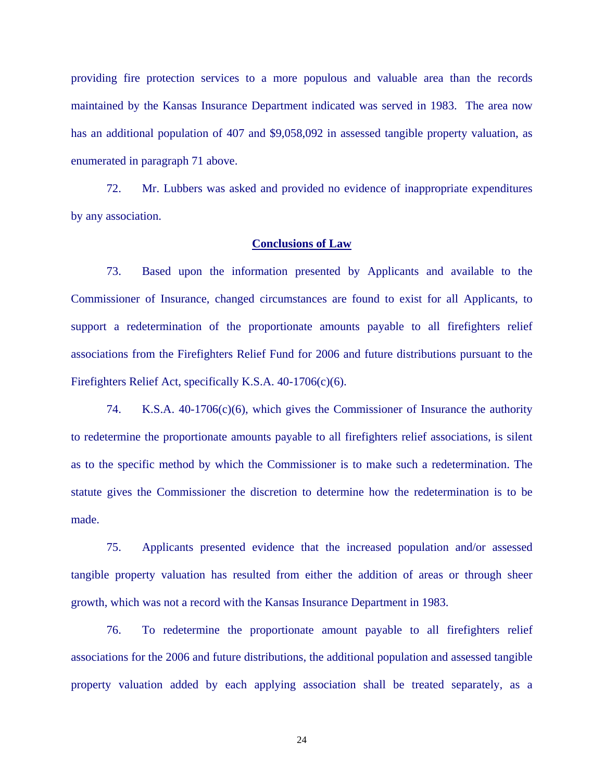providing fire protection services to a more populous and valuable area than the records maintained by the Kansas Insurance Department indicated was served in 1983. The area now has an additional population of 407 and \$9,058,092 in assessed tangible property valuation, as enumerated in paragraph 71 above.

72. Mr. Lubbers was asked and provided no evidence of inappropriate expenditures by any association.

#### **Conclusions of Law**

 73. Based upon the information presented by Applicants and available to the Commissioner of Insurance, changed circumstances are found to exist for all Applicants, to support a redetermination of the proportionate amounts payable to all firefighters relief associations from the Firefighters Relief Fund for 2006 and future distributions pursuant to the Firefighters Relief Act, specifically K.S.A. 40-1706(c)(6).

 74. K.S.A. 40-1706(c)(6), which gives the Commissioner of Insurance the authority to redetermine the proportionate amounts payable to all firefighters relief associations, is silent as to the specific method by which the Commissioner is to make such a redetermination. The statute gives the Commissioner the discretion to determine how the redetermination is to be made.

 75. Applicants presented evidence that the increased population and/or assessed tangible property valuation has resulted from either the addition of areas or through sheer growth, which was not a record with the Kansas Insurance Department in 1983.

76. To redetermine the proportionate amount payable to all firefighters relief associations for the 2006 and future distributions, the additional population and assessed tangible property valuation added by each applying association shall be treated separately, as a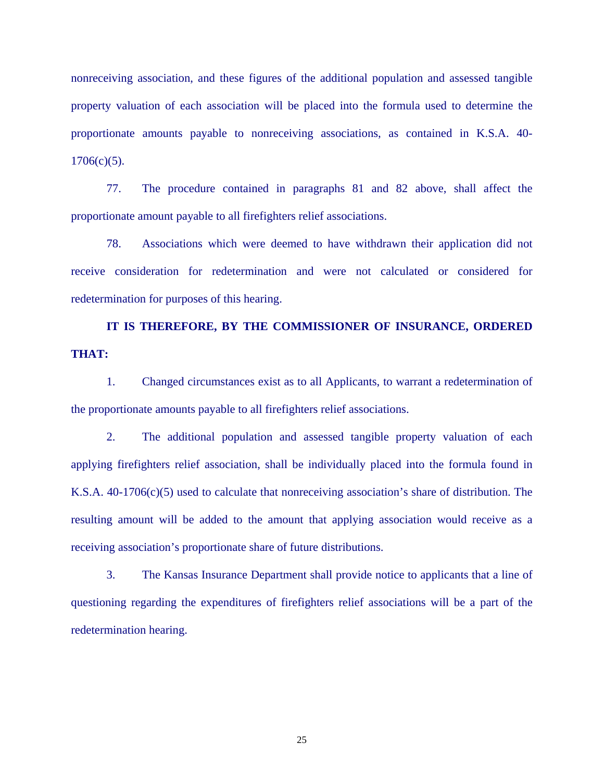nonreceiving association, and these figures of the additional population and assessed tangible property valuation of each association will be placed into the formula used to determine the proportionate amounts payable to nonreceiving associations, as contained in K.S.A. 40-  $1706(c)(5)$ .

77. The procedure contained in paragraphs 81 and 82 above, shall affect the proportionate amount payable to all firefighters relief associations.

78. Associations which were deemed to have withdrawn their application did not receive consideration for redetermination and were not calculated or considered for redetermination for purposes of this hearing.

# **IT IS THEREFORE, BY THE COMMISSIONER OF INSURANCE, ORDERED THAT:**

 1. Changed circumstances exist as to all Applicants, to warrant a redetermination of the proportionate amounts payable to all firefighters relief associations.

 2. The additional population and assessed tangible property valuation of each applying firefighters relief association, shall be individually placed into the formula found in K.S.A. 40-1706(c)(5) used to calculate that nonreceiving association's share of distribution. The resulting amount will be added to the amount that applying association would receive as a receiving association's proportionate share of future distributions.

 3. The Kansas Insurance Department shall provide notice to applicants that a line of questioning regarding the expenditures of firefighters relief associations will be a part of the redetermination hearing.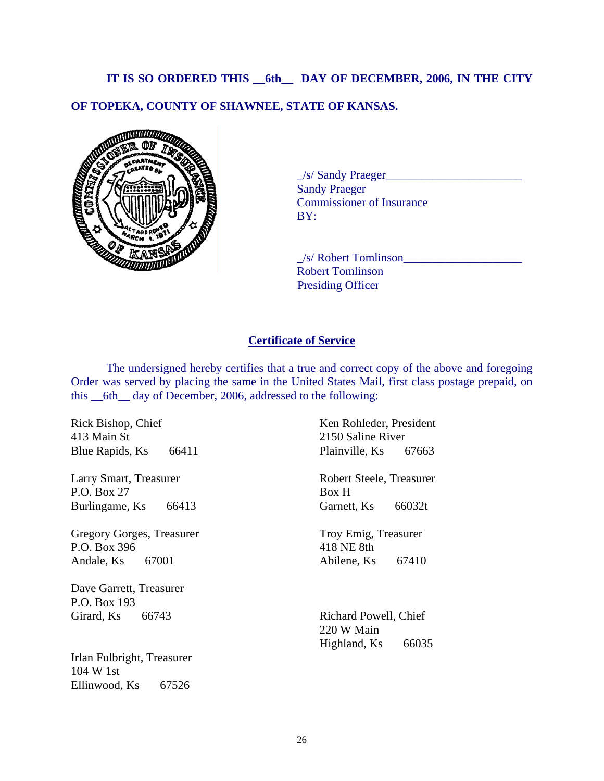### **IT IS SO ORDERED THIS \_\_6th\_\_ DAY OF DECEMBER, 2006, IN THE CITY**

## **OF TOPEKA, COUNTY OF SHAWNEE, STATE OF KANSAS.**



 \_/s/ Sandy Praeger\_\_\_\_\_\_\_\_\_\_\_\_\_\_\_\_\_\_\_\_\_\_\_ Sandy Praeger Commissioner of Insurance BY:

 $\angle$ s/ Robert Tomlinson Robert Tomlinson Presiding Officer

### **Certificate of Service**

 The undersigned hereby certifies that a true and correct copy of the above and foregoing Order was served by placing the same in the United States Mail, first class postage prepaid, on this \_\_6th\_\_ day of December, 2006, addressed to the following:

Rick Bishop, Chief 413 Main St Blue Rapids, Ks 66411

Larry Smart, Treasurer P.O. Box 27 Burlingame, Ks 66413

Gregory Gorges, Treasurer P.O. Box 396 Andale, Ks 67001

Dave Garrett, Treasurer P.O. Box 193 Girard, Ks 66743

Irlan Fulbright, Treasurer 104 W 1st Ellinwood, Ks 67526

Ken Rohleder, President 2150 Saline River Plainville, Ks 67663

Robert Steele, Treasurer Box H Garnett, Ks 66032t

Troy Emig, Treasurer 418 NE 8th Abilene, Ks 67410

Richard Powell, Chief 220 W Main Highland, Ks 66035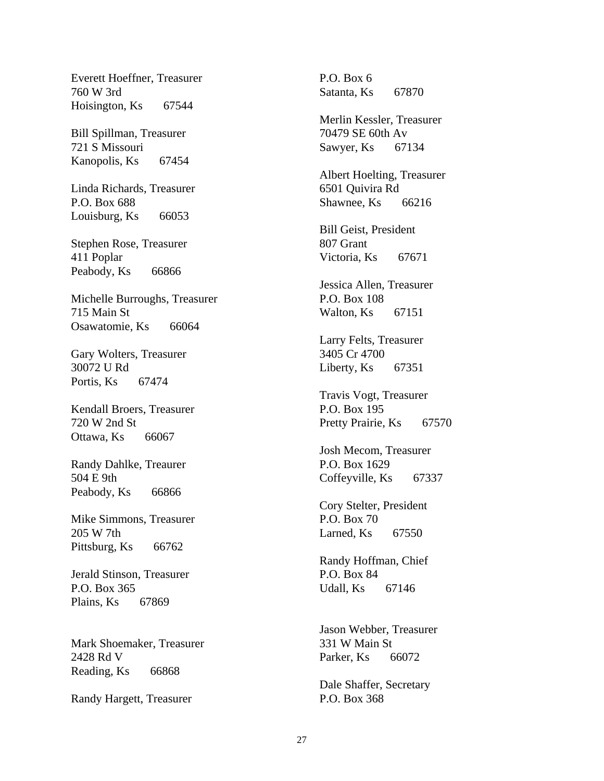Everett Hoeffner, Treasurer 760 W 3rd Hoisington, Ks 67544

Bill Spillman, Treasurer 721 S Missouri Kanopolis, Ks 67454

Linda Richards, Treasurer P.O. Box 688 Louisburg, Ks 66053

Stephen Rose, Treasurer 411 Poplar Peabody, Ks 66866

Michelle Burroughs, Treasurer 715 Main St Osawatomie, Ks 66064

Gary Wolters, Treasurer 30072 U Rd Portis, Ks 67474

Kendall Broers, Treasurer 720 W 2nd St Ottawa, Ks 66067

Randy Dahlke, Treaurer 504 E 9th Peabody, Ks 66866

Mike Simmons, Treasurer 205 W 7th Pittsburg, Ks 66762

Jerald Stinson, Treasurer P.O. Box 365 Plains, Ks 67869

Mark Shoemaker, Treasurer 2428 Rd V Reading, Ks 66868

Randy Hargett, Treasurer

P.O. Box 6 Satanta, Ks 67870

Merlin Kessler, Treasurer 70479 SE 60th Av Sawyer, Ks 67134

Albert Hoelting, Treasurer 6501 Quivira Rd Shawnee, Ks 66216

Bill Geist, President 807 Grant Victoria, Ks 67671

Jessica Allen, Treasurer P.O. Box 108 Walton, Ks 67151

Larry Felts, Treasurer 3405 Cr 4700 Liberty, Ks 67351

Travis Vogt, Treasurer P.O. Box 195 Pretty Prairie, Ks 67570

Josh Mecom, Treasurer P.O. Box 1629 Coffeyville, Ks 67337

Cory Stelter, President P.O. Box 70 Larned, Ks 67550

Randy Hoffman, Chief P.O. Box 84 Udall, Ks 67146

Jason Webber, Treasurer 331 W Main St Parker, Ks 66072

Dale Shaffer, Secretary P.O. Box 368